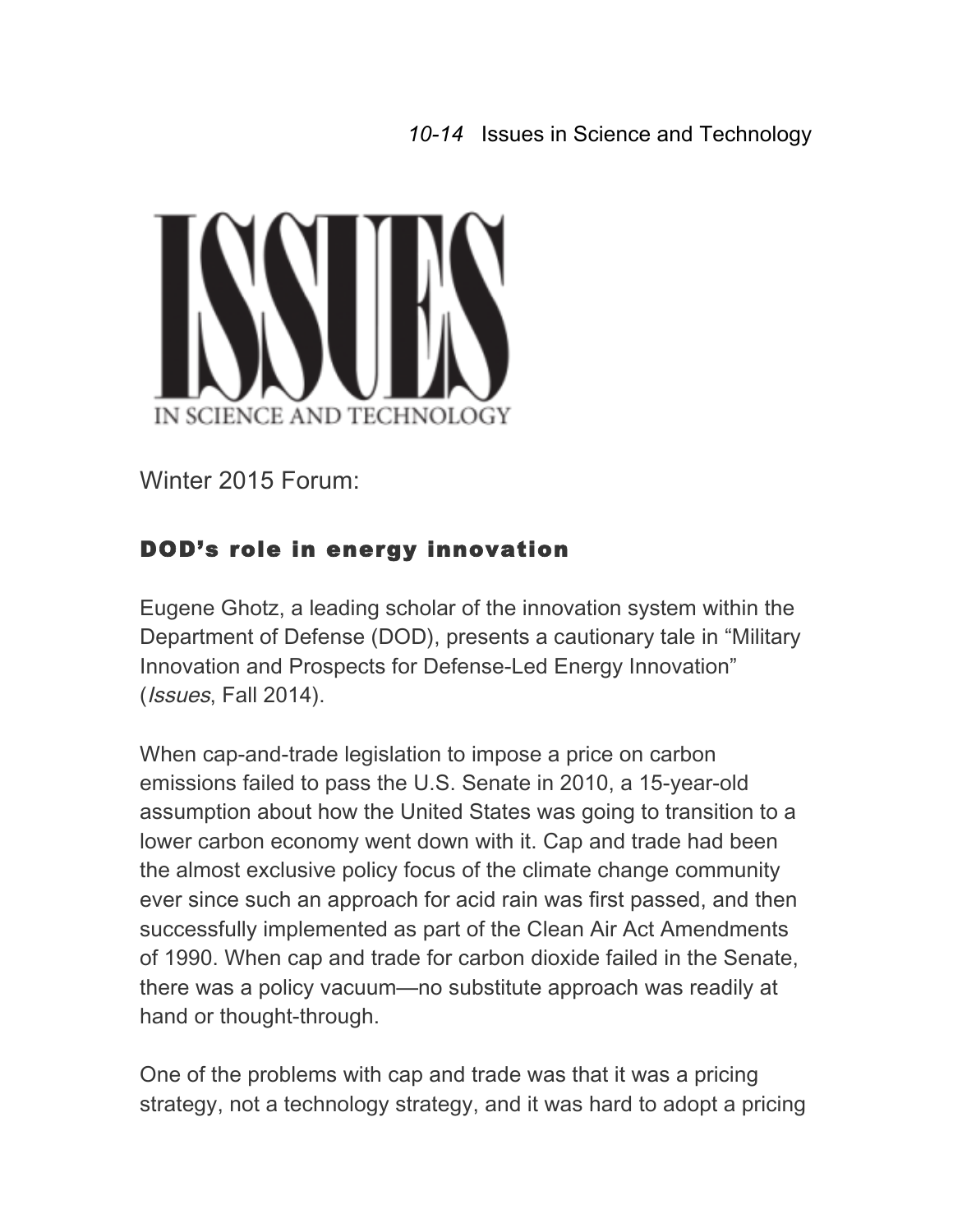## *10-14* Issues in Science and Technology



Winter 2015 Forum:

## DOD's role in energy innovation

Eugene Ghotz, a leading scholar of the innovation system within the Department of Defense (DOD), presents a cautionary tale in "Military Innovation and Prospects for Defense-Led Energy Innovation" (Issues, Fall 2014).

When cap-and-trade legislation to impose a price on carbon emissions failed to pass the U.S. Senate in 2010, a 15-year-old assumption about how the United States was going to transition to a lower carbon economy went down with it. Cap and trade had been the almost exclusive policy focus of the climate change community ever since such an approach for acid rain was first passed, and then successfully implemented as part of the Clean Air Act Amendments of 1990. When cap and trade for carbon dioxide failed in the Senate, there was a policy vacuum—no substitute approach was readily at hand or thought-through.

One of the problems with cap and trade was that it was a pricing strategy, not a technology strategy, and it was hard to adopt a pricing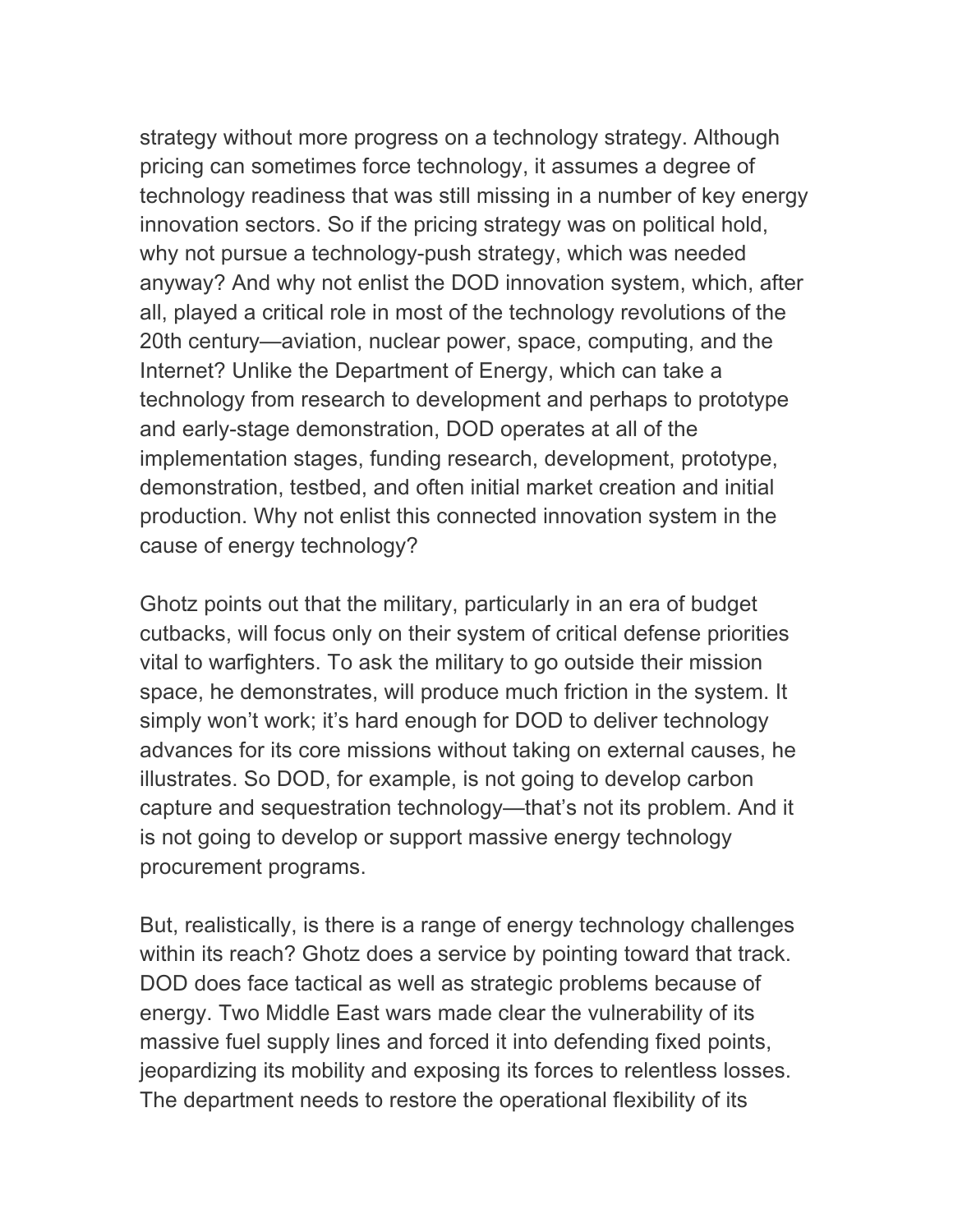strategy without more progress on a technology strategy. Although pricing can sometimes force technology, it assumes a degree of technology readiness that was still missing in a number of key energy innovation sectors. So if the pricing strategy was on political hold, why not pursue a technology-push strategy, which was needed anyway? And why not enlist the DOD innovation system, which, after all, played a critical role in most of the technology revolutions of the 20th century—aviation, nuclear power, space, computing, and the Internet? Unlike the Department of Energy, which can take a technology from research to development and perhaps to prototype and early-stage demonstration, DOD operates at all of the implementation stages, funding research, development, prototype, demonstration, testbed, and often initial market creation and initial production. Why not enlist this connected innovation system in the cause of energy technology?

Ghotz points out that the military, particularly in an era of budget cutbacks, will focus only on their system of critical defense priorities vital to warfighters. To ask the military to go outside their mission space, he demonstrates, will produce much friction in the system. It simply won't work; it's hard enough for DOD to deliver technology advances for its core missions without taking on external causes, he illustrates. So DOD, for example, is not going to develop carbon capture and sequestration technology—that's not its problem. And it is not going to develop or support massive energy technology procurement programs.

But, realistically, is there is a range of energy technology challenges within its reach? Ghotz does a service by pointing toward that track. DOD does face tactical as well as strategic problems because of energy. Two Middle East wars made clear the vulnerability of its massive fuel supply lines and forced it into defending fixed points, jeopardizing its mobility and exposing its forces to relentless losses. The department needs to restore the operational flexibility of its